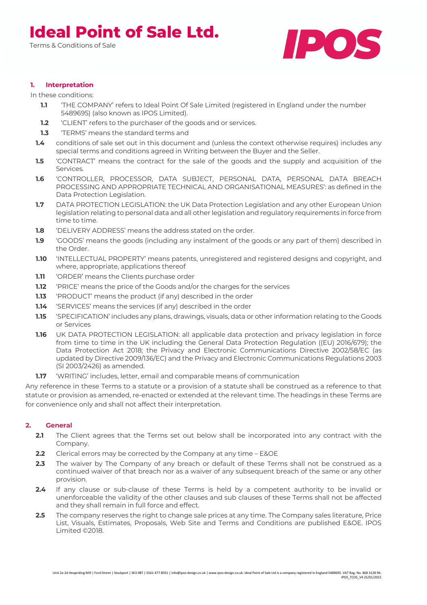Terms & Conditions of Sale



### **1. Interpretation**

In these conditions:

- **1.1** 'THE COMPANY' refers to Ideal Point Of Sale Limited (registered in England under the number 5489695) (also known as IPOS Limited).
- **1.2** 'CLIENT' refers to the purchaser of the goods and or services.
- **1.3** 'TERMS' means the standard terms and
- **1.4** conditions of sale set out in this document and (unless the context otherwise requires) includes any special terms and conditions agreed in Writing between the Buyer and the Seller.
- **1.5** 'CONTRACT' means the contract for the sale of the goods and the supply and acquisition of the Services.
- **1.6** 'CONTROLLER, PROCESSOR, DATA SUBJECT, PERSONAL DATA, PERSONAL DATA BREACH PROCESSING AND APPROPRIATE TECHNICAL AND ORGANISATIONAL MEASURES': as defined in the Data Protection Legislation.
- **1.7** DATA PROTECTION LEGISLATION: the UK Data Protection Legislation and any other European Union legislation relating to personal data and all other legislation and regulatory requirements in force from time to time.
- **1.8** 'DELIVERY ADDRESS' means the address stated on the order.
- **1.9** 'GOODS' means the goods (including any instalment of the goods or any part of them) described in the Order.
- **1.10** 'INTELLECTUAL PROPERTY' means patents, unregistered and registered designs and copyright, and where, appropriate, applications thereof
- **1.11** 'ORDER' means the Clients purchase order
- **1.12** 'PRICE' means the price of the Goods and/or the charges for the services
- **1.13** 'PRODUCT' means the product (if any) described in the order
- **1.14** 'SERVICES' means the services (if any) described in the order
- **1.15** 'SPECIFICATION' includes any plans, drawings, visuals, data or other information relating to the Goods or Services
- **1.16** UK DATA PROTECTION LEGISLATION: all applicable data protection and privacy legislation in force from time to time in the UK including the General Data Protection Regulation ((EU) 2016/679); the Data Protection Act 2018; the Privacy and Electronic Communications Directive 2002/58/EC (as updated by Directive 2009/136/EC) and the Privacy and Electronic Communications Regulations 2003 (SI 2003/2426) as amended.
- **1.17** 'WRITING' includes, letter, email and comparable means of communication

Any reference in these Terms to a statute or a provision of a statute shall be construed as a reference to that statute or provision as amended, re-enacted or extended at the relevant time. The headings in these Terms are for convenience only and shall not affect their interpretation.

### **2. General**

- **2.1** The Client agrees that the Terms set out below shall be incorporated into any contract with the Company.
- **2.2** Clerical errors may be corrected by the Company at any time E&OE
- **2.3** The waiver by The Company of any breach or default of these Terms shall not be construed as a continued waiver of that breach nor as a waiver of any subsequent breach of the same or any other provision.
- **2.4** If any clause or sub-clause of these Terms is held by a competent authority to be invalid or unenforceable the validity of the other clauses and sub clauses of these Terms shall not be affected and they shall remain in full force and effect.
- **2.5** The company reserves the right to change sale prices at any time. The Company sales literature, Price List, Visuals, Estimates, Proposals, Web Site and Terms and Conditions are published E&OE. IPOS Limited ©2018.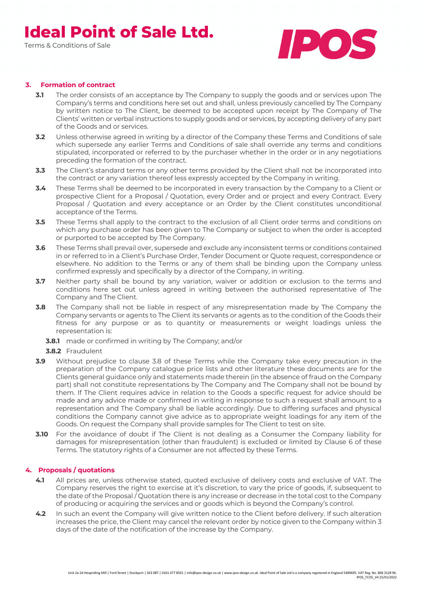Terms & Conditions of Sale



### **3. Formation of contract**

- **3.1** The order consists of an acceptance by The Company to supply the goods and or services upon The Company's terms and conditions here set out and shall, unless previously cancelled by The Company by written notice to The Client, be deemed to be accepted upon receipt by The Company of The Clients' written or verbal instructions to supply goods and or services, by accepting delivery of any part of the Goods and or services.
- **3.2** Unless otherwise agreed in writing by a director of the Company these Terms and Conditions of sale which supersede any earlier Terms and Conditions of sale shall override any terms and conditions stipulated, incorporated or referred to by the purchaser whether in the order or in any negotiations preceding the formation of the contract.
- **3.3** The Client's standard terms or any other terms provided by the Client shall not be incorporated into the contract or any variation thereof less expressly accepted by the Company in writing.
- **3.4** These Terms shall be deemed to be incorporated in every transaction by the Company to a Client or prospective Client for a Proposal / Quotation, every Order and or project and every Contract. Every Proposal / Quotation and every acceptance or an Order by the Client constitutes unconditional acceptance of the Terms.
- **3.5** These Terms shall apply to the contract to the exclusion of all Client order terms and conditions on which any purchase order has been given to The Company or subject to when the order is accepted or purported to be accepted by The Company.
- **3.6** These Terms shall prevail over, supersede and exclude any inconsistent terms or conditions contained in or referred to in a Client's Purchase Order, Tender Document or Quote request, correspondence or elsewhere. No addition to the Terms or any of them shall be binding upon the Company unless confirmed expressly and specifically by a director of the Company, in writing.
- **3.7** Neither party shall be bound by any variation, waiver or addition or exclusion to the terms and conditions here set out unless agreed in writing between the authorised representative of The Company and The Client.
- **3.8** The Company shall not be liable in respect of any misrepresentation made by The Company the Company servants or agents to The Client its servants or agents as to the condition of the Goods their fitness for any purpose or as to quantity or measurements or weight loadings unless the representation is:
	- **3.8.1** made or confirmed in writing by The Company; and/or
	- **3.8.2** Fraudulent
- **3.9** Without prejudice to clause 3.8 of these Terms while the Company take every precaution in the preparation of the Company catalogue price lists and other literature these documents are for the Clients general guidance only and statements made therein (in the absence of fraud on the Company part) shall not constitute representations by The Company and The Company shall not be bound by them. If The Client requires advice in relation to the Goods a specific request for advice should be made and any advice made or confirmed in writing in response to such a request shall amount to a representation and The Company shall be liable accordingly. Due to differing surfaces and physical conditions the Company cannot give advice as to appropriate weight loadings for any item of the Goods. On request the Company shall provide samples for The Client to test on site.
- **3.10** For the avoidance of doubt if The Client is not dealing as a Consumer the Company liability for damages for misrepresentation (other than fraudulent) is excluded or limited by Clause 6 of these Terms. The statutory rights of a Consumer are not affected by these Terms.

### **4. Proposals / quotations**

- **4.1** All prices are, unless otherwise stated, quoted exclusive of delivery costs and exclusive of VAT. The Company reserves the right to exercise at it's discretion, to vary the price of goods, if, subsequent to the date of the Proposal / Quotation there is any increase or decrease in the total cost to the Company of producing or acquiring the services and or goods which is beyond the Company's control.
- **4.2** In such an event the Company will give written notice to the Client before delivery. If such alteration increases the price, the Client may cancel the relevant order by notice given to the Company within 3 days of the date of the notification of the increase by the Company.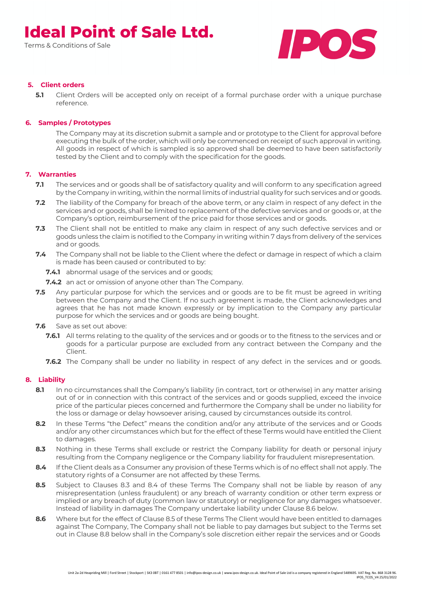Terms & Conditions of Sale



### **5. Client orders**

**5.1** Client Orders will be accepted only on receipt of a formal purchase order with a unique purchase reference.

#### **6. Samples / Prototypes**

The Company may at its discretion submit a sample and or prototype to the Client for approval before executing the bulk of the order, which will only be commenced on receipt of such approval in writing. All goods in respect of which is sampled is so approved shall be deemed to have been satisfactorily tested by the Client and to comply with the specification for the goods.

### **7. Warranties**

- **7.1** The services and or goods shall be of satisfactory quality and will conform to any specification agreed by the Company in writing, within the normal limits of industrial quality for such services and or goods.
- **7.2** The liability of the Company for breach of the above term, or any claim in respect of any defect in the services and or goods, shall be limited to replacement of the defective services and or goods or, at the Company's option, reimbursement of the price paid for those services and or goods.
- **7.3** The Client shall not be entitled to make any claim in respect of any such defective services and or goods unless the claim is notified to the Company in writing within 7 days from delivery of the services and or goods.
- **7.4** The Company shall not be liable to the Client where the defect or damage in respect of which a claim is made has been caused or contributed to by:
	- **7.4.1** abnormal usage of the services and or goods:
	- **7.4.2** an act or omission of anyone other than The Company.
- **7.5** Any particular purpose for which the services and or goods are to be fit must be agreed in writing between the Company and the Client. If no such agreement is made, the Client acknowledges and agrees that he has not made known expressly or by implication to the Company any particular purpose for which the services and or goods are being bought.
- **7.6** Save as set out above:
	- **7.6.1** All terms relating to the quality of the services and or goods or to the fitness to the services and or goods for a particular purpose are excluded from any contract between the Company and the Client.
	- **7.6.2** The Company shall be under no liability in respect of any defect in the services and or goods.

#### **8. Liability**

- **8.1** In no circumstances shall the Company's liability (in contract, tort or otherwise) in any matter arising out of or in connection with this contract of the services and or goods supplied, exceed the invoice price of the particular pieces concerned and furthermore the Company shall be under no liability for the loss or damage or delay howsoever arising, caused by circumstances outside its control.
- **8.2** In these Terms "the Defect" means the condition and/or any attribute of the services and or Goods and/or any other circumstances which but for the effect of these Terms would have entitled the Client to damages.
- **8.3** Nothing in these Terms shall exclude or restrict the Company liability for death or personal injury resulting from the Company negligence or the Company liability for fraudulent misrepresentation.
- **8.4** If the Client deals as a Consumer any provision of these Terms which is of no effect shall not apply. The statutory rights of a Consumer are not affected by these Terms.
- **8.5** Subject to Clauses 8.3 and 8.4 of these Terms The Company shall not be liable by reason of any misrepresentation (unless fraudulent) or any breach of warranty condition or other term express or implied or any breach of duty (common law or statutory) or negligence for any damages whatsoever. Instead of liability in damages The Company undertake liability under Clause 8.6 below.
- **8.6** Where but for the effect of Clause 8.5 of these Terms The Client would have been entitled to damages against The Company, The Company shall not be liable to pay damages but subject to the Terms set out in Clause 8.8 below shall in the Company's sole discretion either repair the services and or Goods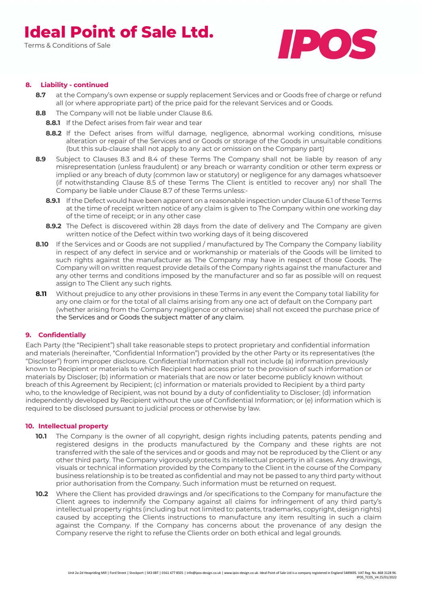Terms & Conditions of Sale



#### **8. Liability - continued**

- **8.7** at the Company's own expense or supply replacement Services and or Goods free of charge or refund all (or where appropriate part) of the price paid for the relevant Services and or Goods.
- **8.8** The Company will not be liable under Clause 8.6.
	- **8.8.1** If the Defect arises from fair wear and tear
	- **8.8.2** If the Defect arises from wilful damage, negligence, abnormal working conditions, misuse alteration or repair of the Services and or Goods or storage of the Goods in unsuitable conditions (but this sub-clause shall not apply to any act or omission on the Company part)
- **8.9** Subject to Clauses 8.3 and 8.4 of these Terms The Company shall not be liable by reason of any misrepresentation (unless fraudulent) or any breach or warranty condition or other term express or implied or any breach of duty (common law or statutory) or negligence for any damages whatsoever (if notwithstanding Clause 8.5 of these Terms The Client is entitled to recover any) nor shall The Company be liable under Clause 8.7 of these Terms unless:-
	- **8.9.1** If the Defect would have been apparent on a reasonable inspection under Clause 6.1 of these Terms at the time of receipt written notice of any claim is given to The Company within one working day of the time of receipt; or in any other case
	- **8.9.2** The Defect is discovered within 28 days from the date of delivery and The Company are given written notice of the Defect within two working days of it being discovered
- **8.10** If the Services and or Goods are not supplied / manufactured by The Company the Company liability in respect of any defect in service and or workmanship or materials of the Goods will be limited to such rights against the manufacturer as The Company may have in respect of those Goods. The Company will on written request provide details of the Company rights against the manufacturer and any other terms and conditions imposed by the manufacturer and so far as possible will on request assign to The Client any such rights.
- **8.11** Without prejudice to any other provisions in these Terms in any event the Company total liability for any one claim or for the total of all claims arising from any one act of default on the Company part (whether arising from the Company negligence or otherwise) shall not exceed the purchase price of the Services and or Goods the subject matter of any claim.

#### **9. Confidentially**

Each Party (the "Recipient") shall take reasonable steps to protect proprietary and confidential information and materials (hereinafter, "Confidential Information") provided by the other Party or its representatives (the "Discloser") from improper disclosure. Confidential Information shall not include (a) information previously known to Recipient or materials to which Recipient had access prior to the provision of such information or materials by Discloser; (b) information or materials that are now or later become publicly known without breach of this Agreement by Recipient; (c) information or materials provided to Recipient by a third party who, to the knowledge of Recipient, was not bound by a duty of confidentiality to Discloser; (d) information independently developed by Recipient without the use of Confidential Information; or (e) information which is required to be disclosed pursuant to judicial process or otherwise by law.

#### **10. Intellectual property**

- **10.1** The Company is the owner of all copyright, design rights including patents, patents pending and registered designs in the products manufactured by the Company and these rights are not transferred with the sale of the services and or goods and may not be reproduced by the Client or any other third party. The Company vigorously protects its intellectual property in all cases. Any drawings, visuals or technical information provided by the Company to the Client in the course of the Company business relationship is to be treated as confidential and may not be passed to any third party without prior authorisation from the Company. Such information must be returned on request.
- **10.2** Where the Client has provided drawings and /or specifications to the Company for manufacture the Client agrees to indemnify the Company against all claims for infringement of any third party's intellectual property rights (including but not limited to: patents, trademarks, copyright, design rights) caused by accepting the Clients instructions to manufacture any item resulting in such a claim against the Company. If the Company has concerns about the provenance of any design the Company reserve the right to refuse the Clients order on both ethical and legal grounds.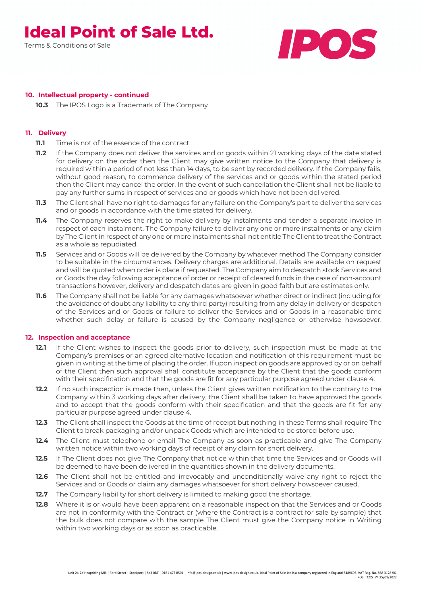Terms & Conditions of Sale



#### **10. Intellectual property - continued**

**10.3** The IPOS Logo is a Trademark of The Company

#### **11. Delivery**

- **11.1** Time is not of the essence of the contract.
- **11.2** If the Company does not deliver the services and or goods within 21 working days of the date stated for delivery on the order then the Client may give written notice to the Company that delivery is required within a period of not less than 14 days, to be sent by recorded delivery. If the Company fails, without good reason, to commence delivery of the services and or goods within the stated period then the Client may cancel the order. In the event of such cancellation the Client shall not be liable to pay any further sums in respect of services and or goods which have not been delivered.
- **11.3** The Client shall have no right to damages for any failure on the Company's part to deliver the services and or goods in accordance with the time stated for delivery.
- **11.4** The Company reserves the right to make delivery by instalments and tender a separate invoice in respect of each instalment. The Company failure to deliver any one or more instalments or any claim by The Client in respect of any one or more instalments shall not entitle The Client to treat the Contract as a whole as repudiated.
- **11.5** Services and or Goods will be delivered by the Company by whatever method The Company consider to be suitable in the circumstances. Delivery charges are additional. Details are available on request and will be quoted when order is place if requested. The Company aim to despatch stock Services and or Goods the day following acceptance of order or receipt of cleared funds in the case of non-account transactions however, delivery and despatch dates are given in good faith but are estimates only.
- **11.6** The Company shall not be liable for any damages whatsoever whether direct or indirect (including for the avoidance of doubt any liability to any third party) resulting from any delay in delivery or despatch of the Services and or Goods or failure to deliver the Services and or Goods in a reasonable time whether such delay or failure is caused by the Company negligence or otherwise howsoever.

#### **12. Inspection and acceptance**

- **12.1** If the Client wishes to inspect the goods prior to delivery, such inspection must be made at the Company's premises or an agreed alternative location and notification of this requirement must be given in writing at the time of placing the order. If upon inspection goods are approved by or on behalf of the Client then such approval shall constitute acceptance by the Client that the goods conform with their specification and that the goods are fit for any particular purpose agreed under clause 4.
- **12.2** If no such inspection is made then, unless the Client gives written notification to the contrary to the Company within 3 working days after delivery, the Client shall be taken to have approved the goods and to accept that the goods conform with their specification and that the goods are fit for any particular purpose agreed under clause 4.
- **12.3** The Client shall inspect the Goods at the time of receipt but nothing in these Terms shall require The Client to break packaging and/or unpack Goods which are intended to be stored before use.
- **12.4** The Client must telephone or email The Company as soon as practicable and give The Company written notice within two working days of receipt of any claim for short delivery.
- **12.5** If The Client does not give The Company that notice within that time the Services and or Goods will be deemed to have been delivered in the quantities shown in the delivery documents.
- **12.6** The Client shall not be entitled and irrevocably and unconditionally waive any right to reject the Services and or Goods or claim any damages whatsoever for short delivery howsoever caused.
- **12.7** The Company liability for short delivery is limited to making good the shortage.
- **12.8** Where it is or would have been apparent on a reasonable inspection that the Services and or Goods are not in conformity with the Contract or (where the Contract is a contract for sale by sample) that the bulk does not compare with the sample The Client must give the Company notice in Writing within two working days or as soon as practicable.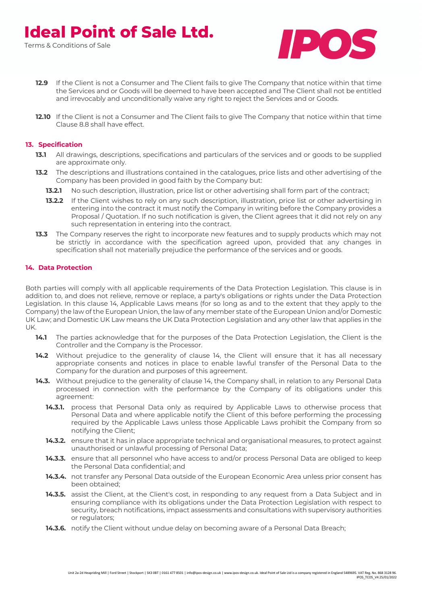

- **12.9** If the Client is not a Consumer and The Client fails to give The Company that notice within that time the Services and or Goods will be deemed to have been accepted and The Client shall not be entitled and irrevocably and unconditionally waive any right to reject the Services and or Goods.
- **12.10** If the Client is not a Consumer and The Client fails to give The Company that notice within that time Clause 8.8 shall have effect.

#### **13. Specification**

- **13.1** All drawings, descriptions, specifications and particulars of the services and or goods to be supplied are approximate only.
- **13.2** The descriptions and illustrations contained in the catalogues, price lists and other advertising of the Company has been provided in good faith by the Company but:
	- **13.2.1** No such description, illustration, price list or other advertising shall form part of the contract;
	- **13.2.2** If the Client wishes to rely on any such description, illustration, price list or other advertising in entering into the contract it must notify the Company in writing before the Company provides a Proposal / Quotation. If no such notification is given, the Client agrees that it did not rely on any such representation in entering into the contract.
- **13.3** The Company reserves the right to incorporate new features and to supply products which may not be strictly in accordance with the specification agreed upon, provided that any changes in specification shall not materially prejudice the performance of the services and or goods.

#### **14. Data Protection**

Both parties will comply with all applicable requirements of the Data Protection Legislation. This clause is in addition to, and does not relieve, remove or replace, a party's obligations or rights under the Data Protection Legislation. In this clause 14, Applicable Laws means (for so long as and to the extent that they apply to the Company) the law of the European Union, the law of any member state of the European Union and/or Domestic UK Law; and Domestic UK Law means the UK Data Protection Legislation and any other law that applies in the UK.

- 14.1 The parties acknowledge that for the purposes of the Data Protection Legislation, the Client is the Controller and the Company is the Processor.
- 14.2 Without prejudice to the generality of clause 14, the Client will ensure that it has all necessary appropriate consents and notices in place to enable lawful transfer of the Personal Data to the Company for the duration and purposes of this agreement.
- **14.3.** Without prejudice to the generality of clause 14, the Company shall, in relation to any Personal Data processed in connection with the performance by the Company of its obligations under this agreement:
	- **14.3.1.** process that Personal Data only as required by Applicable Laws to otherwise process that Personal Data and where applicable notify the Client of this before performing the processing required by the Applicable Laws unless those Applicable Laws prohibit the Company from so notifying the Client;
	- **14.3.2.** ensure that it has in place appropriate technical and organisational measures, to protect against unauthorised or unlawful processing of Personal Data;
	- **14.3.3.** ensure that all personnel who have access to and/or process Personal Data are obliged to keep the Personal Data confidential; and
	- **14.3.4.** not transfer any Personal Data outside of the European Economic Area unless prior consent has been obtained;
	- **14.3.5.** assist the Client, at the Client's cost, in responding to any request from a Data Subject and in ensuring compliance with its obligations under the Data Protection Legislation with respect to security, breach notifications, impact assessments and consultations with supervisory authorities or regulators;
	- **14.3.6.** notify the Client without undue delay on becoming aware of a Personal Data Breach;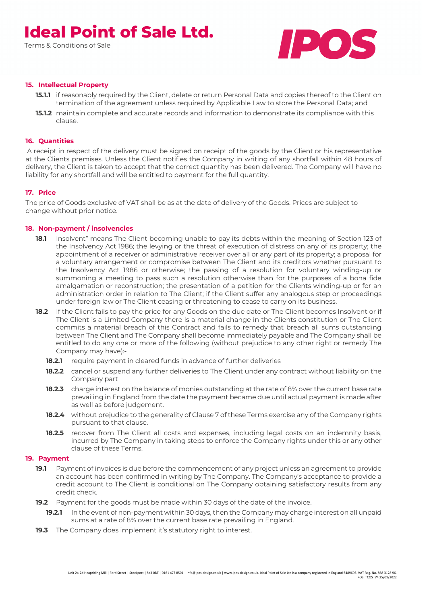Terms & Conditions of Sale



#### **15. Intellectual Property**

- **15.1.1** if reasonably required by the Client, delete or return Personal Data and copies thereof to the Client on termination of the agreement unless required by Applicable Law to store the Personal Data; and
- **15.1.2** maintain complete and accurate records and information to demonstrate its compliance with this clause.

#### **16. Quantities**

A receipt in respect of the delivery must be signed on receipt of the goods by the Client or his representative at the Clients premises. Unless the Client notifies the Company in writing of any shortfall within 48 hours of delivery, the Client is taken to accept that the correct quantity has been delivered. The Company will have no liability for any shortfall and will be entitled to payment for the full quantity.

#### **17. Price**

The price of Goods exclusive of VAT shall be as at the date of delivery of the Goods. Prices are subject to change without prior notice.

#### **18. Non-payment / insolvencies**

- **18.1** Insolvent" means The Client becoming unable to pay its debts within the meaning of Section 123 of the Insolvency Act 1986; the levying or the threat of execution of distress on any of its property; the appointment of a receiver or administrative receiver over all or any part of its property; a proposal for a voluntary arrangement or compromise between The Client and its creditors whether pursuant to the Insolvency Act 1986 or otherwise; the passing of a resolution for voluntary winding-up or summoning a meeting to pass such a resolution otherwise than for the purposes of a bona fide amalgamation or reconstruction; the presentation of a petition for the Clients winding-up or for an administration order in relation to The Client; if the Client suffer any analogous step or proceedings under foreign law or The Client ceasing or threatening to cease to carry on its business.
- **18.2** If the Client fails to pay the price for any Goods on the due date or The Client becomes Insolvent or if The Client is a Limited Company there is a material change in the Clients constitution or The Client commits a material breach of this Contract and fails to remedy that breach all sums outstanding between The Client and The Company shall become immediately payable and The Company shall be entitled to do any one or more of the following (without prejudice to any other right or remedy The Company may have):-
	- **18.2.1** require payment in cleared funds in advance of further deliveries
	- **18.2.2** cancel or suspend any further deliveries to The Client under any contract without liability on the Company part
	- **18.2.3** charge interest on the balance of monies outstanding at the rate of 8% over the current base rate prevailing in England from the date the payment became due until actual payment is made after as well as before judgement.
	- **18.2.4** without prejudice to the generality of Clause 7 of these Terms exercise any of the Company rights pursuant to that clause.
	- **18.2.5** recover from The Client all costs and expenses, including legal costs on an indemnity basis, incurred by The Company in taking steps to enforce the Company rights under this or any other clause of these Terms.

#### **19. Payment**

- **19.1** Payment of invoices is due before the commencement of any project unless an agreement to provide an account has been confirmed in writing by The Company. The Company's acceptance to provide a credit account to The Client is conditional on The Company obtaining satisfactory results from any credit check.
- **19.2** Payment for the goods must be made within 30 days of the date of the invoice.
	- **19.2.1** In the event of non-payment within 30 days, then the Company may charge interest on all unpaid sums at a rate of 8% over the current base rate prevailing in England.
- **19.3** The Company does implement it's statutory right to interest.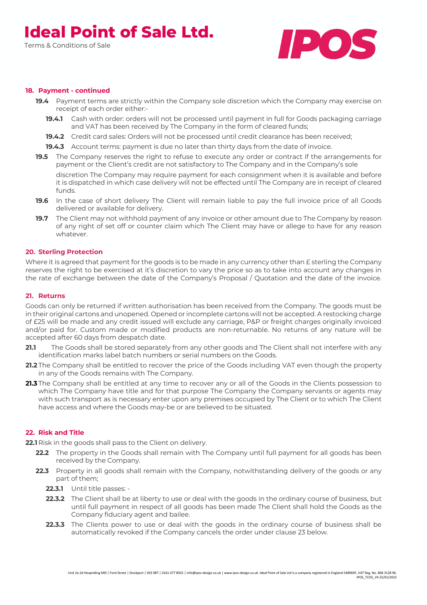Terms & Conditions of Sale



#### **18. Payment - continued**

- **19.4** Payment terms are strictly within the Company sole discretion which the Company may exercise on receipt of each order either:-
	- **19.4.1** Cash with order: orders will not be processed until payment in full for Goods packaging carriage and VAT has been received by The Company in the form of cleared funds;
	- **19.4.2** Credit card sales: Orders will not be processed until credit clearance has been received;
	- **19.4.3** Account terms: payment is due no later than thirty days from the date of invoice.
- **19.5** The Company reserves the right to refuse to execute any order or contract if the arrangements for payment or the Client's credit are not satisfactory to The Company and in the Company's sole

discretion The Company may require payment for each consignment when it is available and before it is dispatched in which case delivery will not be effected until The Company are in receipt of cleared funds.

- **19.6** In the case of short delivery The Client will remain liable to pay the full invoice price of all Goods delivered or available for delivery.
- **19.7** The Client may not withhold payment of any invoice or other amount due to The Company by reason of any right of set off or counter claim which The Client may have or allege to have for any reason whatever.

#### **20. Sterling Protection**

Where it is agreed that payment for the goods is to be made in any currency other than E sterling the Company reserves the right to be exercised at it's discretion to vary the price so as to take into account any changes in the rate of exchange between the date of the Company's Proposal / Quotation and the date of the invoice.

#### **21. Returns**

Goods can only be returned if written authorisation has been received from the Company. The goods must be in their original cartons and unopened. Opened or incomplete cartons will not be accepted. A restocking charge of £25 will be made and any credit issued will exclude any carriage, P&P or freight charges originally invoiced and/or paid for. Custom made or modified products are non-returnable. No returns of any nature will be accepted after 60 days from despatch date.

- **21.1** The Goods shall be stored separately from any other goods and The Client shall not interfere with any identification marks label batch numbers or serial numbers on the Goods.
- **21.2** The Company shall be entitled to recover the price of the Goods including VAT even though the property in any of the Goods remains with The Company.
- **21.3** The Company shall be entitled at any time to recover any or all of the Goods in the Clients possession to which The Company have title and for that purpose The Company the Company servants or agents may with such transport as is necessary enter upon any premises occupied by The Client or to which The Client have access and where the Goods may-be or are believed to be situated.

#### **22. Risk and Title**

**22.1** Risk in the goods shall pass to the Client on delivery.

- **22.2** The property in the Goods shall remain with The Company until full payment for all goods has been received by the Company.
- **22.3** Property in all goods shall remain with the Company, notwithstanding delivery of the goods or any part of them;
	- **22.3.1** Until title passes: -
	- **22.3.2** The Client shall be at liberty to use or deal with the goods in the ordinary course of business, but until full payment in respect of all goods has been made The Client shall hold the Goods as the Company fiduciary agent and bailee.
	- **22.3.3** The Clients power to use or deal with the goods in the ordinary course of business shall be automatically revoked if the Company cancels the order under clause 23 below.